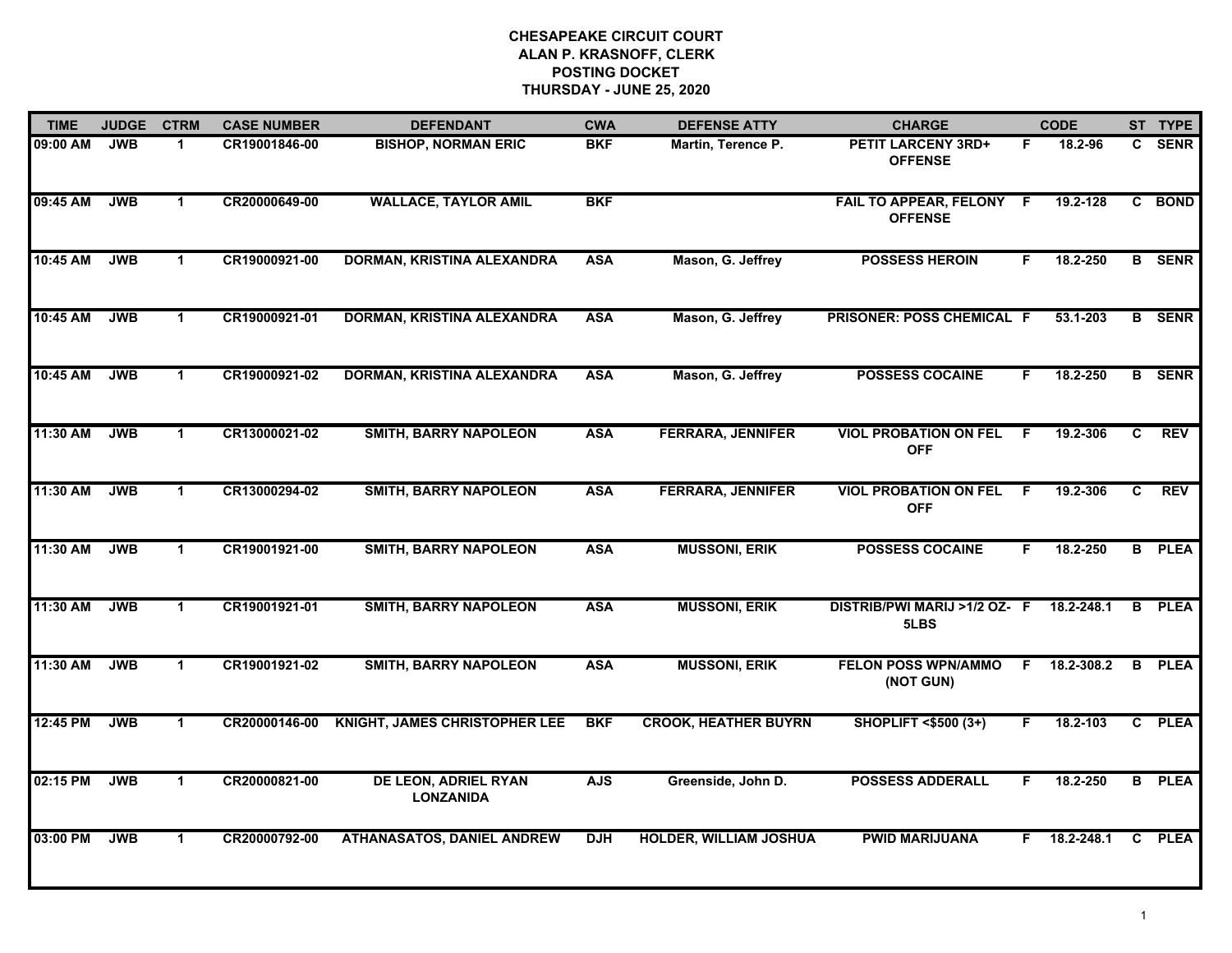| <b>TIME</b> | <b>JUDGE</b> | <b>CTRM</b>          | <b>CASE NUMBER</b> | <b>DEFENDANT</b>                         | <b>CWA</b> | <b>DEFENSE ATTY</b>           | <b>CHARGE</b>                              |    | <b>CODE</b> |    | ST TYPE       |
|-------------|--------------|----------------------|--------------------|------------------------------------------|------------|-------------------------------|--------------------------------------------|----|-------------|----|---------------|
| 09:00 AM    | <b>JWB</b>   | 1                    | CR19001846-00      | <b>BISHOP, NORMAN ERIC</b>               | <b>BKF</b> | Martin, Terence P.            | PETIT LARCENY 3RD+<br><b>OFFENSE</b>       | F  | 18.2-96     | C. | <b>SENR</b>   |
| 09:45 AM    | <b>JWB</b>   | $\blacktriangleleft$ | CR20000649-00      | <b>WALLACE, TAYLOR AMIL</b>              | <b>BKF</b> |                               | FAIL TO APPEAR, FELONY F<br><b>OFFENSE</b> |    | 19.2-128    |    | C BOND        |
| 10:45 AM    | <b>JWB</b>   | $\blacktriangleleft$ | CR19000921-00      | DORMAN, KRISTINA ALEXANDRA               | <b>ASA</b> | Mason, G. Jeffrey             | <b>POSSESS HEROIN</b>                      | F  | 18.2-250    |    | <b>B</b> SENR |
| 10:45 AM    | <b>JWB</b>   | $\blacktriangleleft$ | CR19000921-01      | DORMAN, KRISTINA ALEXANDRA               | <b>ASA</b> | Mason, G. Jeffrey             | <b>PRISONER: POSS CHEMICAL F</b>           |    | 53.1-203    |    | <b>B</b> SENR |
| 10:45 AM    | <b>JWB</b>   | $\blacktriangleleft$ | CR19000921-02      | DORMAN, KRISTINA ALEXANDRA               | <b>ASA</b> | Mason, G. Jeffrey             | <b>POSSESS COCAINE</b>                     | F. | 18.2-250    |    | <b>B</b> SENR |
| 11:30 AM    | <b>JWB</b>   | $\mathbf 1$          | CR13000021-02      | <b>SMITH, BARRY NAPOLEON</b>             | <b>ASA</b> | <b>FERRARA, JENNIFER</b>      | <b>VIOL PROBATION ON FEL</b><br><b>OFF</b> | -F | 19.2-306    | C  | <b>REV</b>    |
| 11:30 AM    | <b>JWB</b>   | $\mathbf{1}$         | CR13000294-02      | <b>SMITH, BARRY NAPOLEON</b>             | <b>ASA</b> | <b>FERRARA, JENNIFER</b>      | <b>VIOL PROBATION ON FEL</b><br><b>OFF</b> | F  | 19.2-306    | C  | <b>REV</b>    |
| 11:30 AM    | <b>JWB</b>   | $\mathbf{1}$         | CR19001921-00      | <b>SMITH, BARRY NAPOLEON</b>             | <b>ASA</b> | <b>MUSSONI, ERIK</b>          | <b>POSSESS COCAINE</b>                     | F  | 18.2-250    |    | <b>B</b> PLEA |
| 11:30 AM    | <b>JWB</b>   | $\mathbf 1$          | CR19001921-01      | <b>SMITH, BARRY NAPOLEON</b>             | <b>ASA</b> | <b>MUSSONI, ERIK</b>          | DISTRIB/PWI MARIJ >1/2 OZ- F<br>5LBS       |    | 18.2-248.1  | B  | <b>PLEA</b>   |
| 11:30 AM    | <b>JWB</b>   | $\blacktriangleleft$ | CR19001921-02      | <b>SMITH, BARRY NAPOLEON</b>             | <b>ASA</b> | <b>MUSSONI, ERIK</b>          | <b>FELON POSS WPN/AMMO</b><br>(NOT GUN)    | F. | 18.2-308.2  | B  | <b>PLEA</b>   |
| 12:45 PM    | <b>JWB</b>   | $\blacktriangleleft$ | CR20000146-00      | <b>KNIGHT, JAMES CHRISTOPHER LEE</b>     | <b>BKF</b> | <b>CROOK, HEATHER BUYRN</b>   | <b>SHOPLIFT &lt;\$500 (3+)</b>             |    | 18.2-103    |    | C PLEA        |
| 02:15 PM    | <b>JWB</b>   | $\mathbf 1$          | CR20000821-00      | DE LEON, ADRIEL RYAN<br><b>LONZANIDA</b> | <b>AJS</b> | Greenside, John D.            | <b>POSSESS ADDERALL</b>                    | F  | 18.2-250    | B  | <b>PLEA</b>   |
| 03:00 PM    | <b>JWB</b>   | $\blacktriangleleft$ | CR20000792-00      | <b>ATHANASATOS, DANIEL ANDREW</b>        | <b>DJH</b> | <b>HOLDER, WILLIAM JOSHUA</b> | <b>PWID MARIJUANA</b>                      | F. | 18.2-248.1  |    | C PLEA        |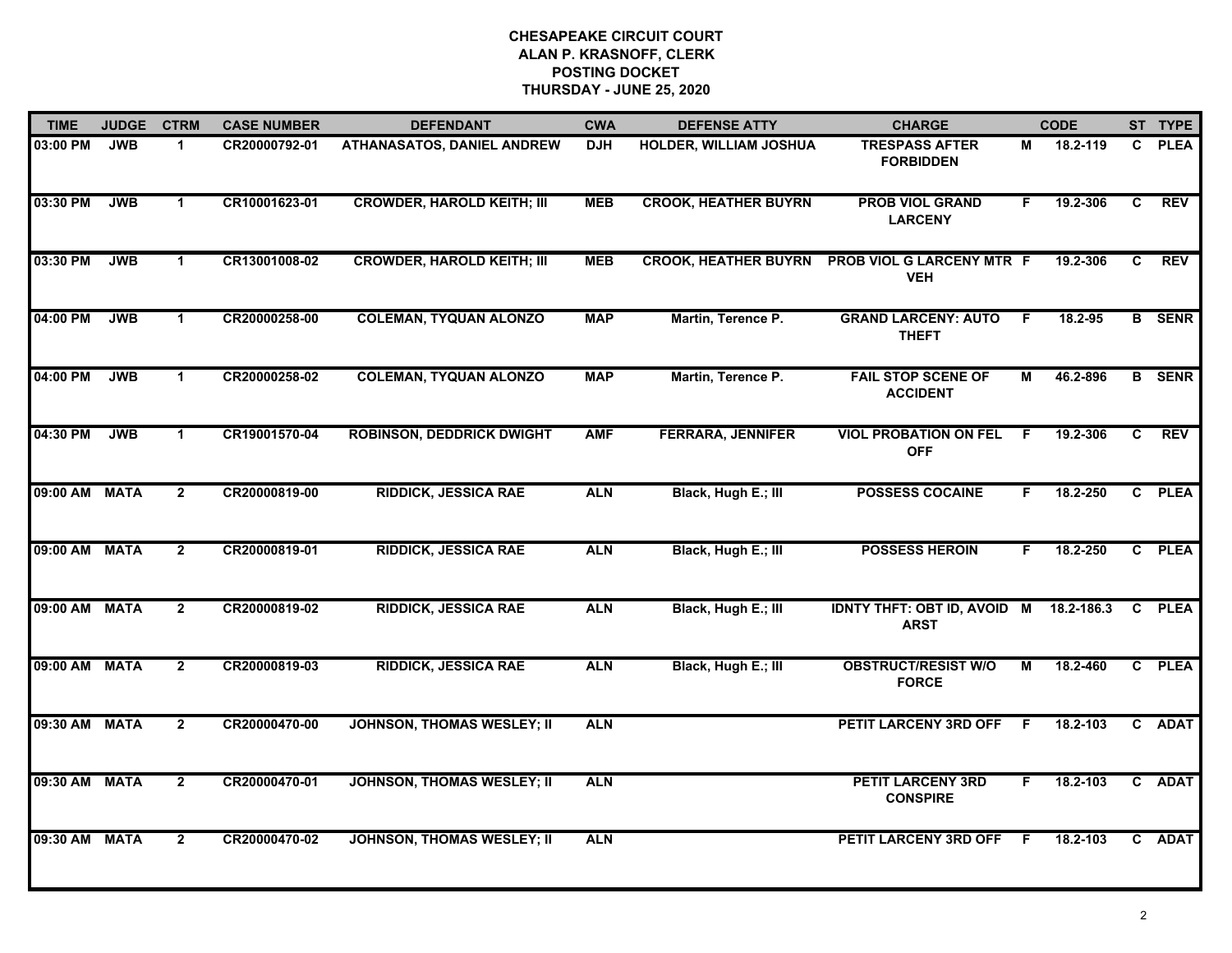| <b>TIME</b>   | <b>JUDGE</b> | <b>CTRM</b>    | <b>CASE NUMBER</b> | <b>DEFENDANT</b>                  | <b>CWA</b> | <b>DEFENSE ATTY</b>         | <b>CHARGE</b>                                         |              | <b>CODE</b> |    | ST TYPE       |
|---------------|--------------|----------------|--------------------|-----------------------------------|------------|-----------------------------|-------------------------------------------------------|--------------|-------------|----|---------------|
| 03:00 PM      | <b>JWB</b>   | 1.             | CR20000792-01      | <b>ATHANASATOS, DANIEL ANDREW</b> | <b>DJH</b> | HOLDER, WILLIAM JOSHUA      | <b>TRESPASS AFTER</b><br><b>FORBIDDEN</b>             | М            | 18.2-119    | C. | <b>PLEA</b>   |
| 03:30 PM      | <b>JWB</b>   | $\mathbf{1}$   | CR10001623-01      | <b>CROWDER, HAROLD KEITH; III</b> | <b>MEB</b> | <b>CROOK, HEATHER BUYRN</b> | <b>PROB VIOL GRAND</b><br><b>LARCENY</b>              | F.           | 19.2-306    | C  | <b>REV</b>    |
| 03:30 PM      | <b>JWB</b>   | $\mathbf 1$    | CR13001008-02      | <b>CROWDER, HAROLD KEITH; III</b> | <b>MEB</b> | <b>CROOK, HEATHER BUYRN</b> | PROB VIOL G LARCENY MTR F<br><b>VEH</b>               |              | 19.2-306    | C. | <b>REV</b>    |
| 04:00 PM      | <b>JWB</b>   | 1.             | CR20000258-00      | <b>COLEMAN, TYQUAN ALONZO</b>     | <b>MAP</b> | Martin, Terence P.          | <b>GRAND LARCENY: AUTO</b><br><b>THEFT</b>            | -F           | 18.2-95     |    | <b>B</b> SENR |
| 04:00 PM      | <b>JWB</b>   | $\mathbf 1$    | CR20000258-02      | <b>COLEMAN, TYQUAN ALONZO</b>     | <b>MAP</b> | Martin, Terence P.          | <b>FAIL STOP SCENE OF</b><br><b>ACCIDENT</b>          | М            | 46.2-896    |    | <b>B</b> SENR |
| 04:30 PM      | <b>JWB</b>   | $\mathbf 1$    | CR19001570-04      | <b>ROBINSON, DEDDRICK DWIGHT</b>  | <b>AMF</b> | <b>FERRARA, JENNIFER</b>    | <b>VIOL PROBATION ON FEL</b><br><b>OFF</b>            | F.           | 19.2-306    | C  | <b>REV</b>    |
| 09:00 AM MATA |              | $\overline{2}$ | CR20000819-00      | <b>RIDDICK, JESSICA RAE</b>       | <b>ALN</b> | Black, Hugh E.; III         | <b>POSSESS COCAINE</b>                                | F.           | 18.2-250    |    | C PLEA        |
| 09:00 AM MATA |              | $\mathbf{2}$   | CR20000819-01      | <b>RIDDICK, JESSICA RAE</b>       | <b>ALN</b> | Black, Hugh E.; III         | <b>POSSESS HEROIN</b>                                 | F.           | 18.2-250    |    | C PLEA        |
| 09:00 AM MATA |              | $\overline{2}$ | CR20000819-02      | <b>RIDDICK, JESSICA RAE</b>       | <b>ALN</b> | Black, Hugh E.; III         | IDNTY THFT: OBT ID, AVOID M 18.2-186.3<br><b>ARST</b> |              |             |    | C PLEA        |
| 09:00 AM MATA |              | $\overline{2}$ | CR20000819-03      | <b>RIDDICK, JESSICA RAE</b>       | <b>ALN</b> | Black, Hugh E.; III         | <b>OBSTRUCT/RESIST W/O</b><br><b>FORCE</b>            | М            | 18.2-460    |    | C PLEA        |
| 09:30 AM MATA |              | $\overline{2}$ | CR20000470-00      | <b>JOHNSON, THOMAS WESLEY; II</b> | <b>ALN</b> |                             | <b>PETIT LARCENY 3RD OFF</b>                          | $\mathsf{F}$ | 18.2-103    |    | C ADAT        |
| 09:30 AM MATA |              | $\overline{2}$ | CR20000470-01      | <b>JOHNSON, THOMAS WESLEY; II</b> | <b>ALN</b> |                             | <b>PETIT LARCENY 3RD</b><br><b>CONSPIRE</b>           | F.           | 18.2-103    |    | C ADAT        |
| 09:30 AM MATA |              | $\mathbf{2}$   | CR20000470-02      | <b>JOHNSON, THOMAS WESLEY; II</b> | <b>ALN</b> |                             | PETIT LARCENY 3RD OFF                                 | -F.          | 18.2-103    |    | C ADAT        |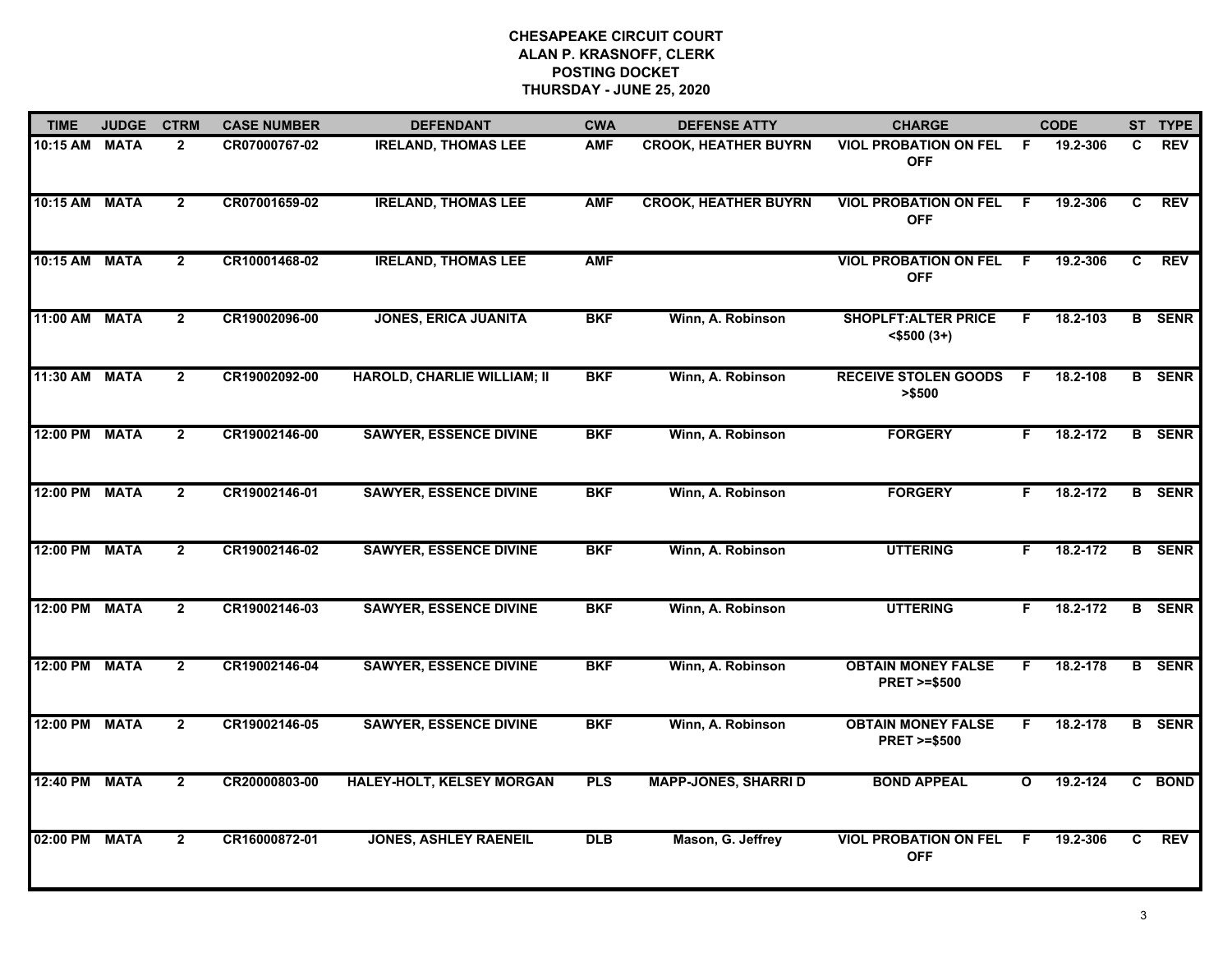| <b>TIME</b>   | <b>JUDGE</b> | <b>CTRM</b>    | <b>CASE NUMBER</b> | <b>DEFENDANT</b>                   | <b>CWA</b> | <b>DEFENSE ATTY</b>         | <b>CHARGE</b>                                       |    | <b>CODE</b> |   | ST TYPE       |
|---------------|--------------|----------------|--------------------|------------------------------------|------------|-----------------------------|-----------------------------------------------------|----|-------------|---|---------------|
| 10:15 AM MATA |              | $\overline{2}$ | CR07000767-02      | <b>IRELAND, THOMAS LEE</b>         | <b>AMF</b> | <b>CROOK, HEATHER BUYRN</b> | <b>VIOL PROBATION ON FEL</b><br><b>OFF</b>          | -F | 19.2-306    | C | <b>REV</b>    |
| 10:15 AM MATA |              | $\overline{2}$ | CR07001659-02      | <b>IRELAND, THOMAS LEE</b>         | <b>AMF</b> | <b>CROOK, HEATHER BUYRN</b> | <b>VIOL PROBATION ON FEL</b><br><b>OFF</b>          | -F | 19.2-306    | C | <b>REV</b>    |
| 10:15 AM MATA |              | $\overline{2}$ | CR10001468-02      | <b>IRELAND, THOMAS LEE</b>         | <b>AMF</b> |                             | <b>VIOL PROBATION ON FEL</b><br><b>OFF</b>          | -F | 19.2-306    | C | <b>REV</b>    |
| 11:00 AM MATA |              | $\mathbf{2}$   | CR19002096-00      | <b>JONES, ERICA JUANITA</b>        | <b>BKF</b> | Winn, A. Robinson           | <b>SHOPLFT: ALTER PRICE</b><br>$<$ \$500 $(3+)$     | F  | 18.2-103    | B | <b>SENR</b>   |
| 11:30 AM MATA |              | $\overline{2}$ | CR19002092-00      | <b>HAROLD, CHARLIE WILLIAM; II</b> | <b>BKF</b> | Winn, A. Robinson           | <b>RECEIVE STOLEN GOODS</b><br>> \$500              | F. | 18.2-108    |   | <b>B</b> SENR |
| 12:00 PM      | <b>MATA</b>  | $\overline{2}$ | CR19002146-00      | <b>SAWYER, ESSENCE DIVINE</b>      | <b>BKF</b> | Winn, A. Robinson           | <b>FORGERY</b>                                      | F. | 18.2-172    | B | <b>SENR</b>   |
| 12:00 PM      | <b>MATA</b>  | $\mathbf{2}$   | CR19002146-01      | <b>SAWYER, ESSENCE DIVINE</b>      | <b>BKF</b> | Winn, A. Robinson           | <b>FORGERY</b>                                      | F. | 18.2-172    |   | <b>B</b> SENR |
| 12:00 PM      | <b>MATA</b>  | $\mathbf{2}$   | CR19002146-02      | <b>SAWYER, ESSENCE DIVINE</b>      | <b>BKF</b> | Winn, A. Robinson           | <b>UTTERING</b>                                     | F. | 18.2-172    |   | <b>B</b> SENR |
| 12:00 PM      | <b>MATA</b>  | $\overline{2}$ | CR19002146-03      | <b>SAWYER, ESSENCE DIVINE</b>      | <b>BKF</b> | Winn, A. Robinson           | <b>UTTERING</b>                                     | F  | 18.2-172    | B | <b>SENR</b>   |
| 12:00 PM      | <b>MATA</b>  | $\overline{2}$ | CR19002146-04      | <b>SAWYER, ESSENCE DIVINE</b>      | <b>BKF</b> | Winn, A. Robinson           | <b>OBTAIN MONEY FALSE</b><br><b>PRET &gt;=\$500</b> | F  | 18.2-178    |   | <b>B</b> SENR |
| 12:00 PM      | <b>MATA</b>  | $\overline{2}$ | CR19002146-05      | <b>SAWYER, ESSENCE DIVINE</b>      | <b>BKF</b> | Winn, A. Robinson           | <b>OBTAIN MONEY FALSE</b><br><b>PRET &gt;=\$500</b> | F. | 18.2-178    |   | <b>B</b> SENR |
| 12:40 PM      | <b>MATA</b>  | $\overline{2}$ | CR20000803-00      | <b>HALEY-HOLT, KELSEY MORGAN</b>   | <b>PLS</b> | <b>MAPP-JONES, SHARRI D</b> | <b>BOND APPEAL</b>                                  | O  | 19.2-124    |   | C BOND        |
| 02:00 PM      | <b>MATA</b>  | $\mathbf{2}$   | CR16000872-01      | <b>JONES, ASHLEY RAENEIL</b>       | <b>DLB</b> | Mason, G. Jeffrey           | <b>VIOL PROBATION ON FEL</b><br><b>OFF</b>          | F  | 19.2-306    | C | <b>REV</b>    |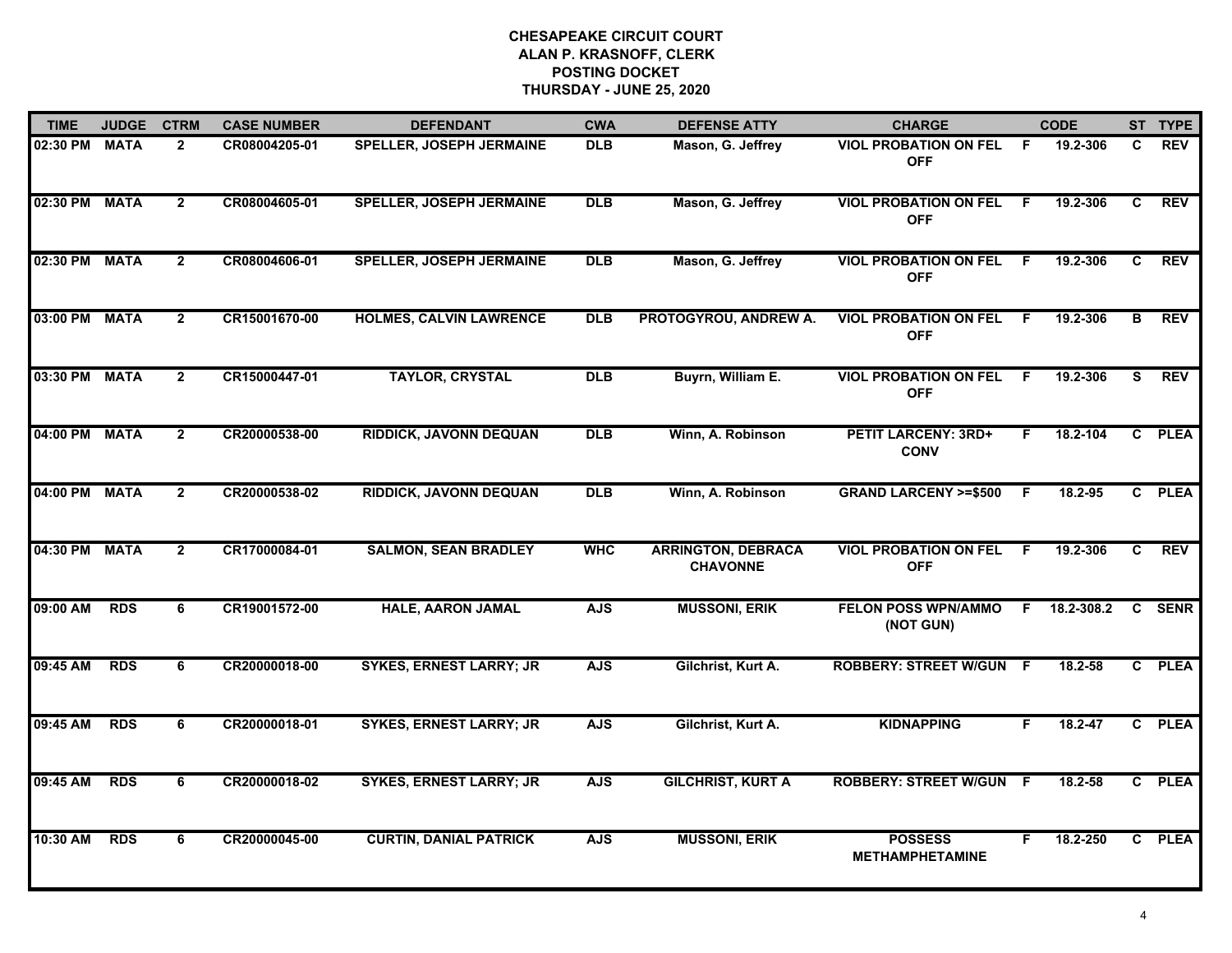| <b>TIME</b>   | <b>JUDGE</b> | <b>CTRM</b>    | <b>CASE NUMBER</b> | <b>DEFENDANT</b>                | <b>CWA</b> | <b>DEFENSE ATTY</b>                          | <b>CHARGE</b>                              |     | <b>CODE</b> |                | ST TYPE     |
|---------------|--------------|----------------|--------------------|---------------------------------|------------|----------------------------------------------|--------------------------------------------|-----|-------------|----------------|-------------|
| 02:30 PM MATA |              | $\overline{2}$ | CR08004205-01      | <b>SPELLER, JOSEPH JERMAINE</b> | <b>DLB</b> | Mason, G. Jeffrey                            | <b>VIOL PROBATION ON FEL</b><br><b>OFF</b> | -F  | 19.2-306    | C.             | <b>REV</b>  |
| 02:30 PM MATA |              | $\overline{2}$ | CR08004605-01      | <b>SPELLER, JOSEPH JERMAINE</b> | <b>DLB</b> | Mason, G. Jeffrey                            | <b>VIOL PROBATION ON FEL</b><br><b>OFF</b> | - F | 19.2-306    | C              | <b>REV</b>  |
| 02:30 PM MATA |              | $\overline{2}$ | CR08004606-01      | <b>SPELLER, JOSEPH JERMAINE</b> | <b>DLB</b> | Mason, G. Jeffrey                            | <b>VIOL PROBATION ON FEL</b><br><b>OFF</b> | F.  | 19.2-306    | $\overline{c}$ | <b>REV</b>  |
| 03:00 PM MATA |              | $\mathbf{2}$   | CR15001670-00      | <b>HOLMES, CALVIN LAWRENCE</b>  | <b>DLB</b> | PROTOGYROU, ANDREW A.                        | <b>VIOL PROBATION ON FEL</b><br><b>OFF</b> | -F  | 19.2-306    | в              | <b>REV</b>  |
| 03:30 PM MATA |              | $\overline{2}$ | CR15000447-01      | <b>TAYLOR, CRYSTAL</b>          | <b>DLB</b> | Buyrn, William E.                            | <b>VIOL PROBATION ON FEL</b><br><b>OFF</b> | F   | 19.2-306    | S              | <b>REV</b>  |
| 04:00 PM MATA |              | $\mathbf{2}$   | CR20000538-00      | <b>RIDDICK, JAVONN DEQUAN</b>   | <b>DLB</b> | Winn, A. Robinson                            | <b>PETIT LARCENY: 3RD+</b><br><b>CONV</b>  | F.  | 18.2-104    |                | C PLEA      |
| 04:00 PM MATA |              | $\overline{2}$ | CR20000538-02      | <b>RIDDICK, JAVONN DEQUAN</b>   | <b>DLB</b> | Winn, A. Robinson                            | <b>GRAND LARCENY &gt;=\$500</b>            | -F  | 18.2-95     | C.             | <b>PLEA</b> |
| 04:30 PM MATA |              | $\overline{2}$ | CR17000084-01      | <b>SALMON, SEAN BRADLEY</b>     | <b>WHC</b> | <b>ARRINGTON, DEBRACA</b><br><b>CHAVONNE</b> | <b>VIOL PROBATION ON FEL</b><br><b>OFF</b> | -F  | 19.2-306    | C              | <b>REV</b>  |
| 09:00 AM      | <b>RDS</b>   | 6              | CR19001572-00      | <b>HALE, AARON JAMAL</b>        | <b>AJS</b> | <b>MUSSONI, ERIK</b>                         | <b>FELON POSS WPN/AMMO</b><br>(NOT GUN)    | F.  | 18.2-308.2  | C              | <b>SENR</b> |
| 09:45 AM      | <b>RDS</b>   | 6              | CR20000018-00      | <b>SYKES, ERNEST LARRY; JR</b>  | <b>AJS</b> | Gilchrist, Kurt A.                           | <b>ROBBERY: STREET W/GUN F</b>             |     | 18.2-58     | $\mathbf{c}$   | <b>PLEA</b> |
| 09:45 AM      | <b>RDS</b>   | 6              | CR20000018-01      | <b>SYKES, ERNEST LARRY; JR</b>  | <b>AJS</b> | Gilchrist, Kurt A.                           | <b>KIDNAPPING</b>                          | F.  | $18.2 - 47$ | $\mathbf{c}$   | <b>PLEA</b> |
| 09:45 AM      | <b>RDS</b>   | 6              | CR20000018-02      | <b>SYKES, ERNEST LARRY; JR</b>  | <b>AJS</b> | <b>GILCHRIST, KURT A</b>                     | <b>ROBBERY: STREET W/GUN F</b>             |     | 18.2-58     | $\overline{c}$ | <b>PLEA</b> |
| 10:30 AM      | <b>RDS</b>   | 6              | CR20000045-00      | <b>CURTIN, DANIAL PATRICK</b>   | <b>AJS</b> | <b>MUSSONI, ERIK</b>                         | <b>POSSESS</b><br><b>METHAMPHETAMINE</b>   | F   | 18.2-250    | $\overline{c}$ | <b>PLEA</b> |